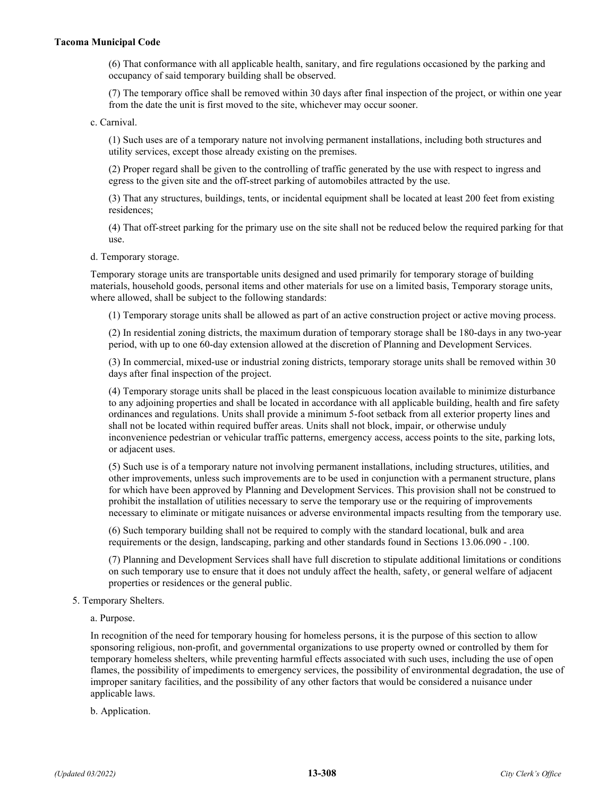## **Tacoma Municipal Code**

(6) That conformance with all applicable health, sanitary, and fire regulations occasioned by the parking and occupancy of said temporary building shall be observed.

(7) The temporary office shall be removed within 30 days after final inspection of the project, or within one year from the date the unit is first moved to the site, whichever may occur sooner.

c. Carnival.

(1) Such uses are of a temporary nature not involving permanent installations, including both structures and utility services, except those already existing on the premises.

(2) Proper regard shall be given to the controlling of traffic generated by the use with respect to ingress and egress to the given site and the off-street parking of automobiles attracted by the use.

(3) That any structures, buildings, tents, or incidental equipment shall be located at least 200 feet from existing residences;

(4) That off-street parking for the primary use on the site shall not be reduced below the required parking for that use.

d. Temporary storage.

Temporary storage units are transportable units designed and used primarily for temporary storage of building materials, household goods, personal items and other materials for use on a limited basis, Temporary storage units, where allowed, shall be subject to the following standards:

(1) Temporary storage units shall be allowed as part of an active construction project or active moving process.

(2) In residential zoning districts, the maximum duration of temporary storage shall be 180-days in any two-year period, with up to one 60-day extension allowed at the discretion of Planning and Development Services.

(3) In commercial, mixed-use or industrial zoning districts, temporary storage units shall be removed within 30 days after final inspection of the project.

(4) Temporary storage units shall be placed in the least conspicuous location available to minimize disturbance to any adjoining properties and shall be located in accordance with all applicable building, health and fire safety ordinances and regulations. Units shall provide a minimum 5-foot setback from all exterior property lines and shall not be located within required buffer areas. Units shall not block, impair, or otherwise unduly inconvenience pedestrian or vehicular traffic patterns, emergency access, access points to the site, parking lots, or adjacent uses.

(5) Such use is of a temporary nature not involving permanent installations, including structures, utilities, and other improvements, unless such improvements are to be used in conjunction with a permanent structure, plans for which have been approved by Planning and Development Services. This provision shall not be construed to prohibit the installation of utilities necessary to serve the temporary use or the requiring of improvements necessary to eliminate or mitigate nuisances or adverse environmental impacts resulting from the temporary use.

(6) Such temporary building shall not be required to comply with the standard locational, bulk and area requirements or the design, landscaping, parking and other standards found in Sections 13.06.090 - .100.

(7) Planning and Development Services shall have full discretion to stipulate additional limitations or conditions on such temporary use to ensure that it does not unduly affect the health, safety, or general welfare of adjacent properties or residences or the general public.

5. Temporary Shelters.

a. Purpose.

In recognition of the need for temporary housing for homeless persons, it is the purpose of this section to allow sponsoring religious, non-profit, and governmental organizations to use property owned or controlled by them for temporary homeless shelters, while preventing harmful effects associated with such uses, including the use of open flames, the possibility of impediments to emergency services, the possibility of environmental degradation, the use of improper sanitary facilities, and the possibility of any other factors that would be considered a nuisance under applicable laws.

b. Application.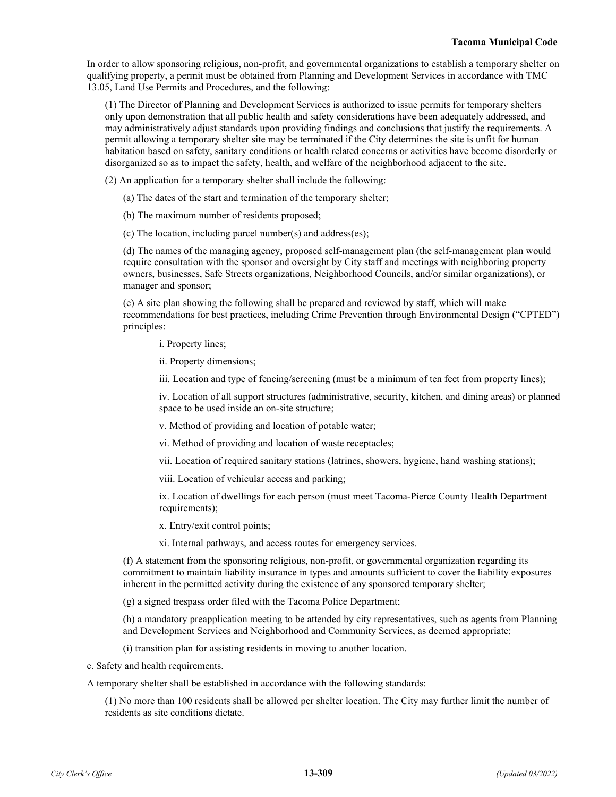In order to allow sponsoring religious, non-profit, and governmental organizations to establish a temporary shelter on qualifying property, a permit must be obtained from Planning and Development Services in accordance with TMC 13.05, Land Use Permits and Procedures, and the following:

(1) The Director of Planning and Development Services is authorized to issue permits for temporary shelters only upon demonstration that all public health and safety considerations have been adequately addressed, and may administratively adjust standards upon providing findings and conclusions that justify the requirements. A permit allowing a temporary shelter site may be terminated if the City determines the site is unfit for human habitation based on safety, sanitary conditions or health related concerns or activities have become disorderly or disorganized so as to impact the safety, health, and welfare of the neighborhood adjacent to the site.

(2) An application for a temporary shelter shall include the following:

(a) The dates of the start and termination of the temporary shelter;

(b) The maximum number of residents proposed;

(c) The location, including parcel number(s) and address(es);

(d) The names of the managing agency, proposed self-management plan (the self-management plan would require consultation with the sponsor and oversight by City staff and meetings with neighboring property owners, businesses, Safe Streets organizations, Neighborhood Councils, and/or similar organizations), or manager and sponsor;

(e) A site plan showing the following shall be prepared and reviewed by staff, which will make recommendations for best practices, including Crime Prevention through Environmental Design ("CPTED") principles:

i. Property lines;

ii. Property dimensions;

iii. Location and type of fencing/screening (must be a minimum of ten feet from property lines);

iv. Location of all support structures (administrative, security, kitchen, and dining areas) or planned space to be used inside an on-site structure;

v. Method of providing and location of potable water;

vi. Method of providing and location of waste receptacles;

vii. Location of required sanitary stations (latrines, showers, hygiene, hand washing stations);

viii. Location of vehicular access and parking;

ix. Location of dwellings for each person (must meet Tacoma-Pierce County Health Department requirements);

x. Entry/exit control points;

xi. Internal pathways, and access routes for emergency services.

(f) A statement from the sponsoring religious, non-profit, or governmental organization regarding its commitment to maintain liability insurance in types and amounts sufficient to cover the liability exposures inherent in the permitted activity during the existence of any sponsored temporary shelter;

(g) a signed trespass order filed with the Tacoma Police Department;

(h) a mandatory preapplication meeting to be attended by city representatives, such as agents from Planning and Development Services and Neighborhood and Community Services, as deemed appropriate;

(i) transition plan for assisting residents in moving to another location.

c. Safety and health requirements.

A temporary shelter shall be established in accordance with the following standards:

(1) No more than 100 residents shall be allowed per shelter location. The City may further limit the number of residents as site conditions dictate.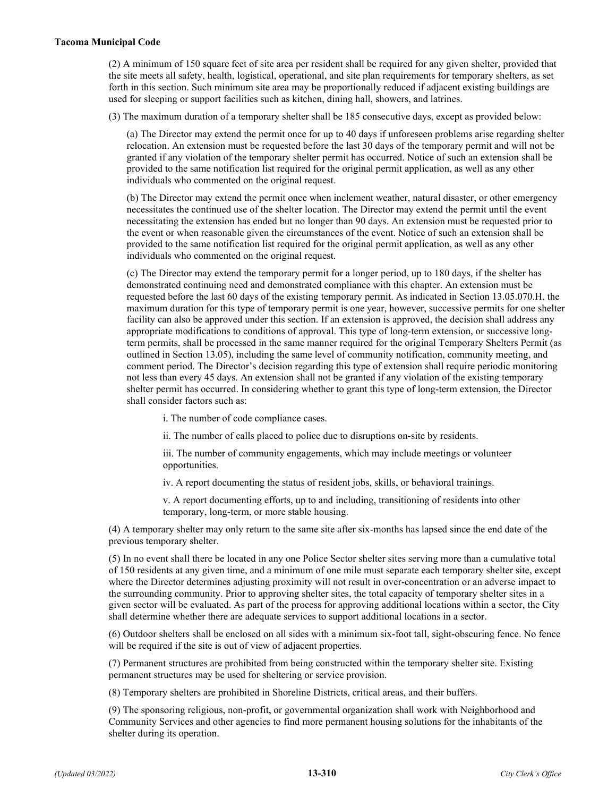## **Tacoma Municipal Code**

(2) A minimum of 150 square feet of site area per resident shall be required for any given shelter, provided that the site meets all safety, health, logistical, operational, and site plan requirements for temporary shelters, as set forth in this section. Such minimum site area may be proportionally reduced if adjacent existing buildings are used for sleeping or support facilities such as kitchen, dining hall, showers, and latrines.

(3) The maximum duration of a temporary shelter shall be 185 consecutive days, except as provided below:

(a) The Director may extend the permit once for up to 40 days if unforeseen problems arise regarding shelter relocation. An extension must be requested before the last 30 days of the temporary permit and will not be granted if any violation of the temporary shelter permit has occurred. Notice of such an extension shall be provided to the same notification list required for the original permit application, as well as any other individuals who commented on the original request.

(b) The Director may extend the permit once when inclement weather, natural disaster, or other emergency necessitates the continued use of the shelter location. The Director may extend the permit until the event necessitating the extension has ended but no longer than 90 days. An extension must be requested prior to the event or when reasonable given the circumstances of the event. Notice of such an extension shall be provided to the same notification list required for the original permit application, as well as any other individuals who commented on the original request.

(c) The Director may extend the temporary permit for a longer period, up to 180 days, if the shelter has demonstrated continuing need and demonstrated compliance with this chapter. An extension must be requested before the last 60 days of the existing temporary permit. As indicated in Section 13.05.070.H, the maximum duration for this type of temporary permit is one year, however, successive permits for one shelter facility can also be approved under this section. If an extension is approved, the decision shall address any appropriate modifications to conditions of approval. This type of long-term extension, or successive longterm permits, shall be processed in the same manner required for the original Temporary Shelters Permit (as outlined in Section 13.05), including the same level of community notification, community meeting, and comment period. The Director's decision regarding this type of extension shall require periodic monitoring not less than every 45 days. An extension shall not be granted if any violation of the existing temporary shelter permit has occurred. In considering whether to grant this type of long-term extension, the Director shall consider factors such as:

i. The number of code compliance cases.

ii. The number of calls placed to police due to disruptions on-site by residents.

iii. The number of community engagements, which may include meetings or volunteer opportunities.

iv. A report documenting the status of resident jobs, skills, or behavioral trainings.

v. A report documenting efforts, up to and including, transitioning of residents into other temporary, long-term, or more stable housing.

(4) A temporary shelter may only return to the same site after six-months has lapsed since the end date of the previous temporary shelter.

(5) In no event shall there be located in any one Police Sector shelter sites serving more than a cumulative total of 150 residents at any given time, and a minimum of one mile must separate each temporary shelter site, except where the Director determines adjusting proximity will not result in over-concentration or an adverse impact to the surrounding community. Prior to approving shelter sites, the total capacity of temporary shelter sites in a given sector will be evaluated. As part of the process for approving additional locations within a sector, the City shall determine whether there are adequate services to support additional locations in a sector.

(6) Outdoor shelters shall be enclosed on all sides with a minimum six-foot tall, sight-obscuring fence. No fence will be required if the site is out of view of adjacent properties.

(7) Permanent structures are prohibited from being constructed within the temporary shelter site. Existing permanent structures may be used for sheltering or service provision.

(8) Temporary shelters are prohibited in Shoreline Districts, critical areas, and their buffers.

(9) The sponsoring religious, non-profit, or governmental organization shall work with Neighborhood and Community Services and other agencies to find more permanent housing solutions for the inhabitants of the shelter during its operation.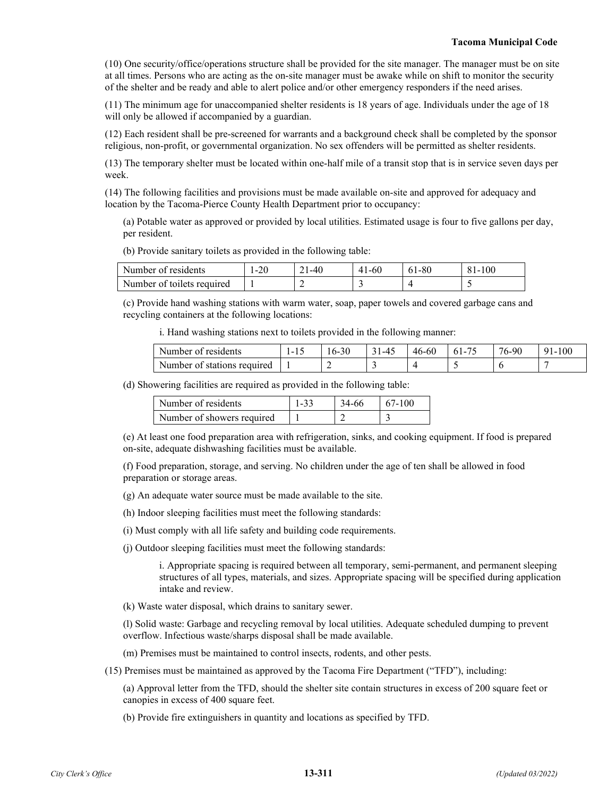(10) One security/office/operations structure shall be provided for the site manager. The manager must be on site at all times. Persons who are acting as the on-site manager must be awake while on shift to monitor the security of the shelter and be ready and able to alert police and/or other emergency responders if the need arises.

(11) The minimum age for unaccompanied shelter residents is 18 years of age. Individuals under the age of 18 will only be allowed if accompanied by a guardian.

(12) Each resident shall be pre-screened for warrants and a background check shall be completed by the sponsor religious, non-profit, or governmental organization. No sex offenders will be permitted as shelter residents.

(13) The temporary shelter must be located within one-half mile of a transit stop that is in service seven days per week.

(14) The following facilities and provisions must be made available on-site and approved for adequacy and location by the Tacoma-Pierce County Health Department prior to occupancy:

(a) Potable water as approved or provided by local utilities. Estimated usage is four to five gallons per day, per resident.

(b) Provide sanitary toilets as provided in the following table:

| Number of residents        | $-20$ | 1-40 | $41-60$ | 61-80 | 81-100 |
|----------------------------|-------|------|---------|-------|--------|
| Number of toilets required |       |      |         |       |        |

(c) Provide hand washing stations with warm water, soap, paper towels and covered garbage cans and recycling containers at the following locations:

i. Hand washing stations next to toilets provided in the following manner:

| . Number<br>residents<br>ി             | -<br>. . | $\sim$<br>. 3U<br>. ხ- | ---<br>. . | - -<br>46-60 | $-$<br>. . | 90<br>76-5 | 100<br>u |
|----------------------------------------|----------|------------------------|------------|--------------|------------|------------|----------|
| Number<br>required<br>ΩŤ<br>stations : | . .      | -                      | -          |              |            |            |          |

(d) Showering facilities are required as provided in the following table:

| Number of residents        | $1 - 33$ | 34-66 | $67-100$ |
|----------------------------|----------|-------|----------|
| Number of showers required |          |       |          |

(e) At least one food preparation area with refrigeration, sinks, and cooking equipment. If food is prepared on-site, adequate dishwashing facilities must be available.

(f) Food preparation, storage, and serving. No children under the age of ten shall be allowed in food preparation or storage areas.

(g) An adequate water source must be made available to the site.

(h) Indoor sleeping facilities must meet the following standards:

(i) Must comply with all life safety and building code requirements.

(j) Outdoor sleeping facilities must meet the following standards:

i. Appropriate spacing is required between all temporary, semi-permanent, and permanent sleeping structures of all types, materials, and sizes. Appropriate spacing will be specified during application intake and review.

(k) Waste water disposal, which drains to sanitary sewer.

(l) Solid waste: Garbage and recycling removal by local utilities. Adequate scheduled dumping to prevent overflow. Infectious waste/sharps disposal shall be made available.

(m) Premises must be maintained to control insects, rodents, and other pests.

(15) Premises must be maintained as approved by the Tacoma Fire Department ("TFD"), including:

(a) Approval letter from the TFD, should the shelter site contain structures in excess of 200 square feet or canopies in excess of 400 square feet.

(b) Provide fire extinguishers in quantity and locations as specified by TFD.